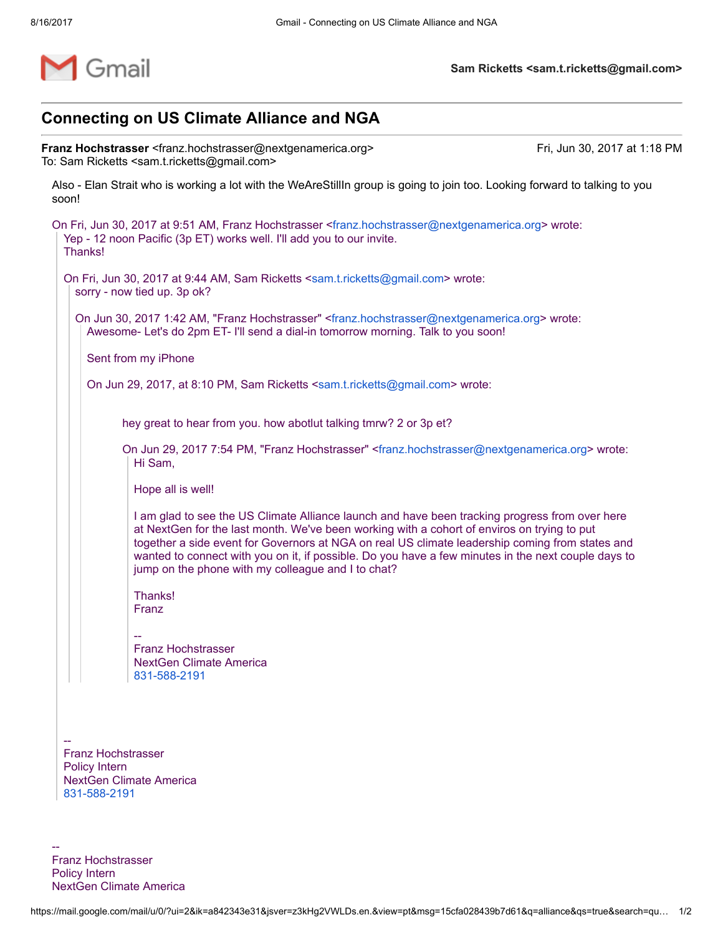

## Connecting on US Climate Alliance and NGA

Franz Hochstrasser <franz.hochstrasser@nextgenamerica.org>
Franz Hochstrasser <franz.hochstrasser@nextgenamerica.org>
Franz Hochstrasser <franz.hochstrasser@nextgenamerica.org> To: Sam Ricketts <sam.t.ricketts@gmail.com>

Also - Elan Strait who is working a lot with the WeAreStillIn group is going to join too. Looking forward to talking to you soon!

On Fri, Jun 30, 2017 at 9:51 AM, Franz Hochstrasser <[franz.hochstrasser@nextgenamerica.org>](mailto:franz.hochstrasser@nextgenamerica.org) wrote: Yep - 12 noon Pacific (3p ET) works well. I'll add you to our invite. Thanks! On Fri, Jun 30, 2017 at 9:44 AM, Sam Ricketts [<sam.t.ricketts@gmail.com](mailto:sam.t.ricketts@gmail.com)> wrote: sorry - now tied up. 3p ok? On Jun 30, 2017 1:42 AM, "Franz Hochstrasser" <[franz.hochstrasser@nextgenamerica.org](mailto:franz.hochstrasser@nextgenamerica.org)> wrote: Awesome- Let's do 2pm ET- I'll send a dial-in tomorrow morning. Talk to you soon! Sent from my iPhone On Jun 29, 2017, at 8:10 PM, Sam Ricketts <[sam.t.ricketts@gmail.com>](mailto:sam.t.ricketts@gmail.com) wrote: hey great to hear from you. how abotlut talking tmrw? 2 or 3p et? On Jun 29, 2017 7:54 PM, "Franz Hochstrasser" <[franz.hochstrasser@nextgenamerica.org>](mailto:franz.hochstrasser@nextgenamerica.org) wrote: Hi Sam, Hope all is well! I am glad to see the US Climate Alliance launch and have been tracking progress from over here at NextGen for the last month. We've been working with a cohort of enviros on trying to put together a side event for Governors at NGA on real US climate leadership coming from states and wanted to connect with you on it, if possible. Do you have a few minutes in the next couple days to jump on the phone with my colleague and I to chat? Thanks! Franz -- Franz Hochstrasser

NextGen Climate America [831-588-2191](tel:(831)%20588-2191)

-- Franz Hochstrasser Policy Intern NextGen Climate America [831-588-2191](tel:(831)%20588-2191)